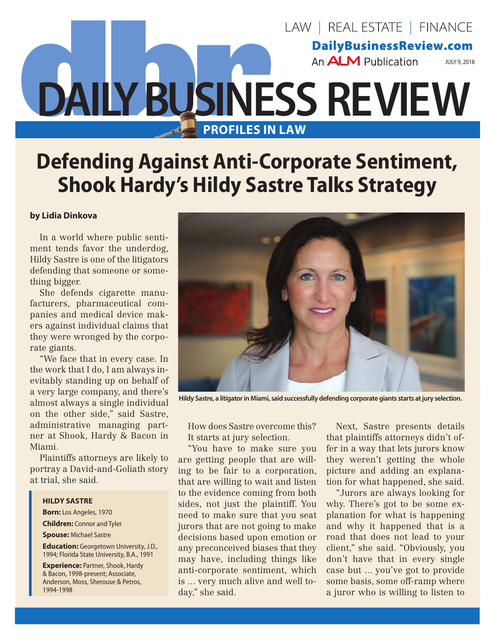

# **Defending Against Anti-Corporate Sentiment, Shook Hardy's Hildy Sastre Talks Strategy**

### **by Lidia Dinkova**

In a world where public sentiment tends favor the underdog, Hildy Sastre is one of the litigators defending that someone or something bigger.

She defends cigarette manufacturers, pharmaceutical companies and medical device makers against individual claims that they were wronged by the corporate giants.

"We face that in every case. In the work that I do, I am always inevitably standing up on behalf of a very large company, and there's almost always a single individual on the other side," said Sastre, administrative managing partner at Shook, Hardy & Bacon in Miami.

Plaintiffs attorneys are likely to portray a David-and-Goliath story at trial, she said.

#### **Hildy Sastre**

**Born:** Los Angeles, 1970

**Children:** Connor and Tyler

**Spouse:** Michael Sastre

**Education:** Georgetown University, J.D., 1994; Florida State University, B.A., 1991

**Experience:** Partner, Shook, Hardy & Bacon, 1998-present; Associate, Anderson, Moss, Sherouse & Petros, 1994-1998



**Hildy Sastre, a litigator in Miami, said successfully defending corporate giants starts at jury selection.**

How does Sastre overcome this? It starts at jury selection.

"You have to make sure you are getting people that are willing to be fair to a corporation, that are willing to wait and listen to the evidence coming from both sides, not just the plaintiff. You need to make sure that you seat jurors that are not going to make decisions based upon emotion or any preconceived biases that they may have, including things like anti-corporate sentiment, which is ... very much alive and well today," she said.

Next, Sastre presents details that plaintiffs attorneys didn't offer in a way that lets jurors know they weren't getting the whole picture and adding an explanation for what happened, she said.

"Jurors are always looking for why. There's got to be some explanation for what is happening and why it happened that is a road that does not lead to your client," she said. "Obviously, you don't have that in every single case but ... you've got to provide some basis, some off-ramp where a juror who is willing to listen to